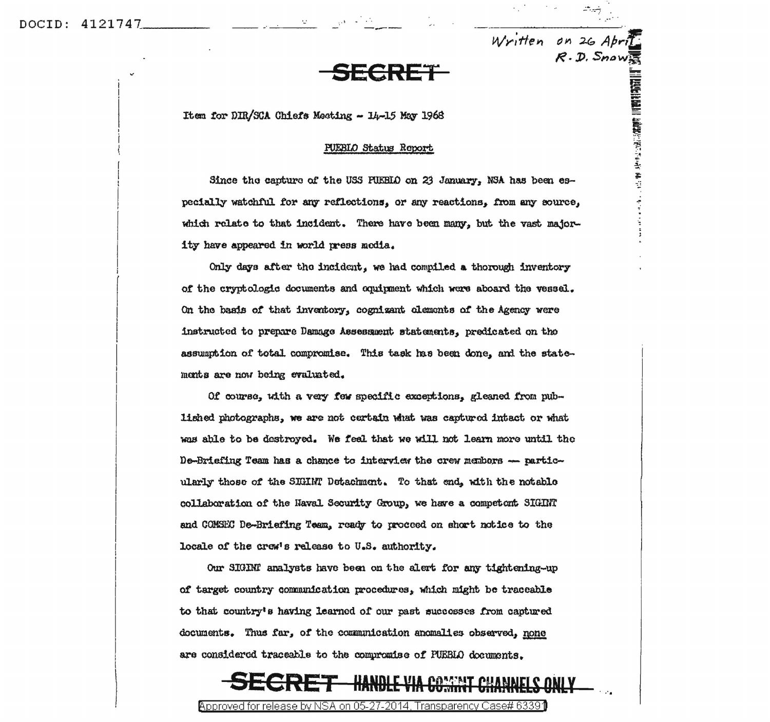Written on 26 April<br> $R \cdot D$ . Snowing 

Item for DIR/SCA Chiefs Meeting - 14-15 May 1968

## PUEBLO Status Report

Since the capture of the USS PUEBLO on 23 January, NSA has been especially watchful for any reflections, or any reactions, from any source, which relate to that incident. There have been many, but the vast majority have appeared in world press media.

Only days after the incident, we had compiled a thorough inventory of the cryptologic documents and equipment which were aboard the vessel. On the basis of that inventory, cognizant clements of the Agency were instructed to prepare Damage Assessment statements, predicated on the assumption of total compromise. This task has been done, and the statements are now being evaluated.

Of course, with a very few specific exceptions, gleaned from published photographs, we are not certain what was captured intact or what was able to be destroyed. We feel that we will not learn more until the De-Briefing Team has a chance to interview the crew members - particularly those of the SIGINT Detachment. To that end, with the notable collaboration of the Naval Security Group, we have a competent SIGINT and COMSEC De-Briefing Team, ready to proceed on short notice to the locale of the crew's release to U.S. authority.

Our SIGINT analysts have been on the alert for any tightening-up of target country communication procedures, which might be traceable to that country's having learned of our past successes from captured documents. Thus far, of the communication anomalies observed, none are considered traceable to the compromise of PUEBLO documents.

## HANDLE VIA COMMIT CHANNELS

Approved for release by NSA on 05-27-2014, Transparency Case# 63391